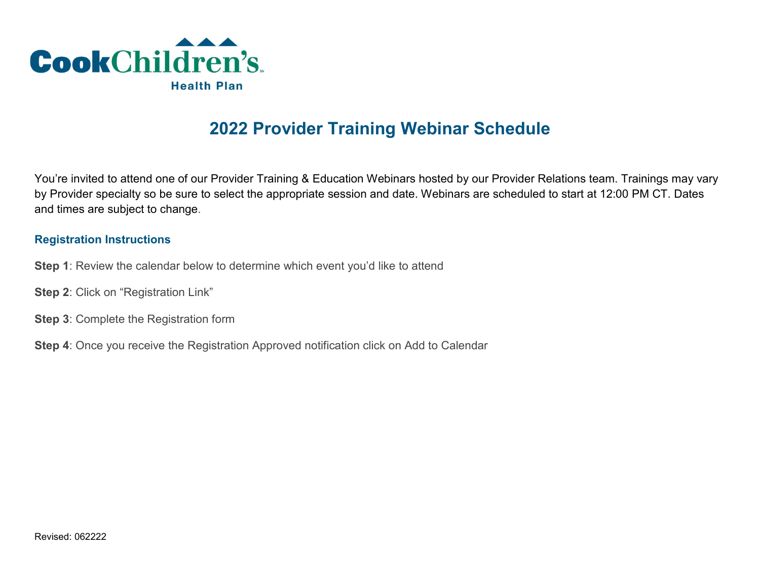

## **2022 Provider Training Webinar Schedule**

You're invited to attend one of our Provider Training & Education Webinars hosted by our Provider Relations team. Trainings may vary by Provider specialty so be sure to select the appropriate session and date. Webinars are scheduled to start at 12:00 PM CT. Dates and times are subject to change.

## **Registration Instructions**

- **Step 1**: Review the calendar below to determine which event you'd like to attend
- **Step 2**: Click on "Registration Link"
- **Step 3**: Complete the Registration form
- **Step 4**: Once you receive the Registration Approved notification click on Add to Calendar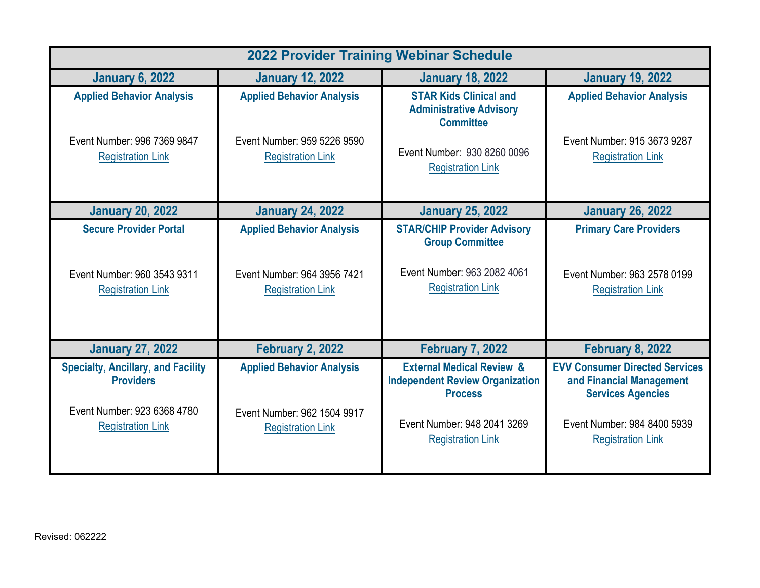| <b>2022 Provider Training Webinar Schedule</b>                                                                           |                                                                                             |                                                                                                                                                             |                                                                                                                                                          |  |
|--------------------------------------------------------------------------------------------------------------------------|---------------------------------------------------------------------------------------------|-------------------------------------------------------------------------------------------------------------------------------------------------------------|----------------------------------------------------------------------------------------------------------------------------------------------------------|--|
| <b>January 6, 2022</b>                                                                                                   | <b>January 12, 2022</b>                                                                     | <b>January 18, 2022</b>                                                                                                                                     | <b>January 19, 2022</b>                                                                                                                                  |  |
| <b>Applied Behavior Analysis</b>                                                                                         | <b>Applied Behavior Analysis</b>                                                            | <b>STAR Kids Clinical and</b><br><b>Administrative Advisory</b><br><b>Committee</b>                                                                         | <b>Applied Behavior Analysis</b>                                                                                                                         |  |
| Event Number: 996 7369 9847<br><b>Registration Link</b>                                                                  | Event Number: 959 5226 9590<br><b>Registration Link</b>                                     | Event Number: 930 8260 0096<br><b>Registration Link</b>                                                                                                     | Event Number: 915 3673 9287<br><b>Registration Link</b>                                                                                                  |  |
| <b>January 20, 2022</b>                                                                                                  | <b>January 24, 2022</b>                                                                     | <b>January 25, 2022</b>                                                                                                                                     | <b>January 26, 2022</b>                                                                                                                                  |  |
| <b>Secure Provider Portal</b><br>Event Number: 960 3543 9311<br><b>Registration Link</b>                                 | <b>Applied Behavior Analysis</b><br>Event Number: 964 3956 7421<br><b>Registration Link</b> | <b>STAR/CHIP Provider Advisory</b><br><b>Group Committee</b><br>Event Number: 963 2082 4061<br><b>Registration Link</b>                                     | <b>Primary Care Providers</b><br>Event Number: 963 2578 0199<br><b>Registration Link</b>                                                                 |  |
| <b>January 27, 2022</b>                                                                                                  | <b>February 2, 2022</b>                                                                     | <b>February 7, 2022</b>                                                                                                                                     | <b>February 8, 2022</b>                                                                                                                                  |  |
| <b>Specialty, Ancillary, and Facility</b><br><b>Providers</b><br>Event Number: 923 6368 4780<br><b>Registration Link</b> | <b>Applied Behavior Analysis</b><br>Event Number: 962 1504 9917<br><b>Registration Link</b> | <b>External Medical Review &amp;</b><br><b>Independent Review Organization</b><br><b>Process</b><br>Event Number: 948 2041 3269<br><b>Registration Link</b> | <b>EVV Consumer Directed Services</b><br>and Financial Management<br><b>Services Agencies</b><br>Event Number: 984 8400 5939<br><b>Registration Link</b> |  |
|                                                                                                                          |                                                                                             |                                                                                                                                                             |                                                                                                                                                          |  |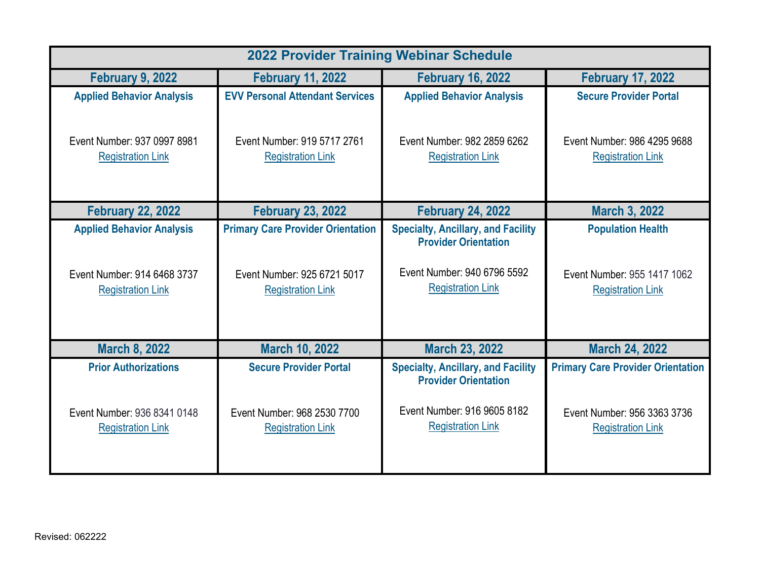| <b>2022 Provider Training Webinar Schedule</b>                                              |                                                                                                     |                                                                                                                                     |                                                                                                     |  |
|---------------------------------------------------------------------------------------------|-----------------------------------------------------------------------------------------------------|-------------------------------------------------------------------------------------------------------------------------------------|-----------------------------------------------------------------------------------------------------|--|
| <b>February 9, 2022</b>                                                                     | <b>February 11, 2022</b>                                                                            | <b>February 16, 2022</b>                                                                                                            | <b>February 17, 2022</b>                                                                            |  |
| <b>Applied Behavior Analysis</b>                                                            | <b>EVV Personal Attendant Services</b>                                                              | <b>Applied Behavior Analysis</b>                                                                                                    | <b>Secure Provider Portal</b>                                                                       |  |
| Event Number: 937 0997 8981<br><b>Registration Link</b>                                     | Event Number: 919 5717 2761<br><b>Registration Link</b>                                             | Event Number: 982 2859 6262<br><b>Registration Link</b>                                                                             | Event Number: 986 4295 9688<br><b>Registration Link</b>                                             |  |
| <b>February 22, 2022</b>                                                                    | <b>February 23, 2022</b>                                                                            | <b>February 24, 2022</b>                                                                                                            | <b>March 3, 2022</b>                                                                                |  |
| <b>Applied Behavior Analysis</b><br>Event Number: 914 6468 3737<br><b>Registration Link</b> | <b>Primary Care Provider Orientation</b><br>Event Number: 925 6721 5017<br><b>Registration Link</b> | <b>Specialty, Ancillary, and Facility</b><br><b>Provider Orientation</b><br>Event Number: 940 6796 5592<br><b>Registration Link</b> | <b>Population Health</b><br>Event Number: 955 1417 1062<br><b>Registration Link</b>                 |  |
| <b>March 8, 2022</b>                                                                        | <b>March 10, 2022</b>                                                                               | <b>March 23, 2022</b>                                                                                                               | <b>March 24, 2022</b>                                                                               |  |
| <b>Prior Authorizations</b><br>Event Number: 936 8341 0148<br><b>Registration Link</b>      | <b>Secure Provider Portal</b><br>Event Number: 968 2530 7700<br><b>Registration Link</b>            | <b>Specialty, Ancillary, and Facility</b><br><b>Provider Orientation</b><br>Event Number: 916 9605 8182<br><b>Registration Link</b> | <b>Primary Care Provider Orientation</b><br>Event Number: 956 3363 3736<br><b>Registration Link</b> |  |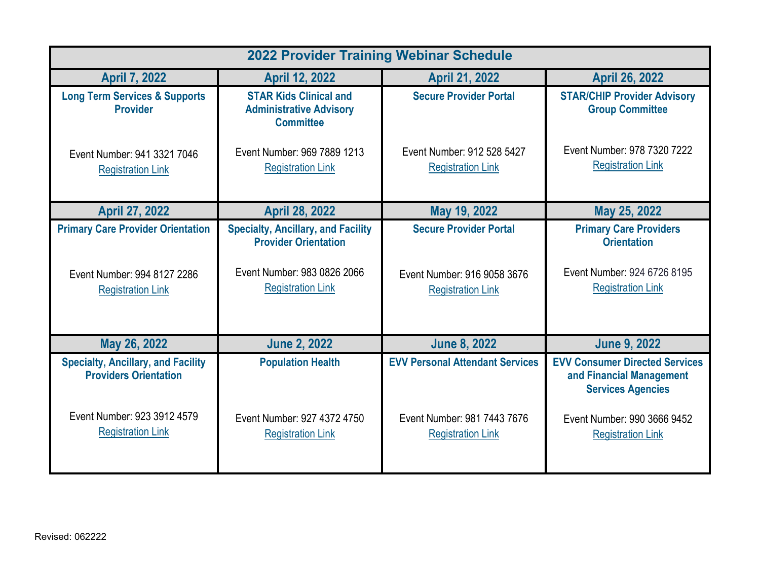| <b>2022 Provider Training Webinar Schedule</b>                                                      |                                                                                                                                     |                                                                                          |                                                                                                                |
|-----------------------------------------------------------------------------------------------------|-------------------------------------------------------------------------------------------------------------------------------------|------------------------------------------------------------------------------------------|----------------------------------------------------------------------------------------------------------------|
| <b>April 7, 2022</b>                                                                                | <b>April 12, 2022</b>                                                                                                               | <b>April 21, 2022</b>                                                                    | <b>April 26, 2022</b>                                                                                          |
| <b>Long Term Services &amp; Supports</b><br><b>Provider</b>                                         | <b>STAR Kids Clinical and</b><br><b>Administrative Advisory</b><br><b>Committee</b>                                                 | <b>Secure Provider Portal</b>                                                            | <b>STAR/CHIP Provider Advisory</b><br><b>Group Committee</b>                                                   |
| Event Number: 941 3321 7046<br><b>Registration Link</b>                                             | Event Number: 969 7889 1213<br><b>Registration Link</b>                                                                             | Event Number: 912 528 5427<br><b>Registration Link</b>                                   | Event Number: 978 7320 7222<br><b>Registration Link</b>                                                        |
| <b>April 27, 2022</b>                                                                               | <b>April 28, 2022</b>                                                                                                               | May 19, 2022                                                                             | May 25, 2022                                                                                                   |
| <b>Primary Care Provider Orientation</b><br>Event Number: 994 8127 2286<br><b>Registration Link</b> | <b>Specialty, Ancillary, and Facility</b><br><b>Provider Orientation</b><br>Event Number: 983 0826 2066<br><b>Registration Link</b> | <b>Secure Provider Portal</b><br>Event Number: 916 9058 3676<br><b>Registration Link</b> | <b>Primary Care Providers</b><br><b>Orientation</b><br>Event Number: 924 6726 8195<br><b>Registration Link</b> |
| May 26, 2022                                                                                        | <b>June 2, 2022</b>                                                                                                                 | <b>June 8, 2022</b>                                                                      | <b>June 9, 2022</b>                                                                                            |
| <b>Specialty, Ancillary, and Facility</b><br><b>Providers Orientation</b>                           | <b>Population Health</b>                                                                                                            | <b>EVV Personal Attendant Services</b>                                                   | <b>EVV Consumer Directed Services</b><br>and Financial Management<br><b>Services Agencies</b>                  |
| Event Number: 923 3912 4579<br><b>Registration Link</b>                                             | Event Number: 927 4372 4750<br><b>Registration Link</b>                                                                             | Event Number: 981 7443 7676<br><b>Registration Link</b>                                  | Event Number: 990 3666 9452<br><b>Registration Link</b>                                                        |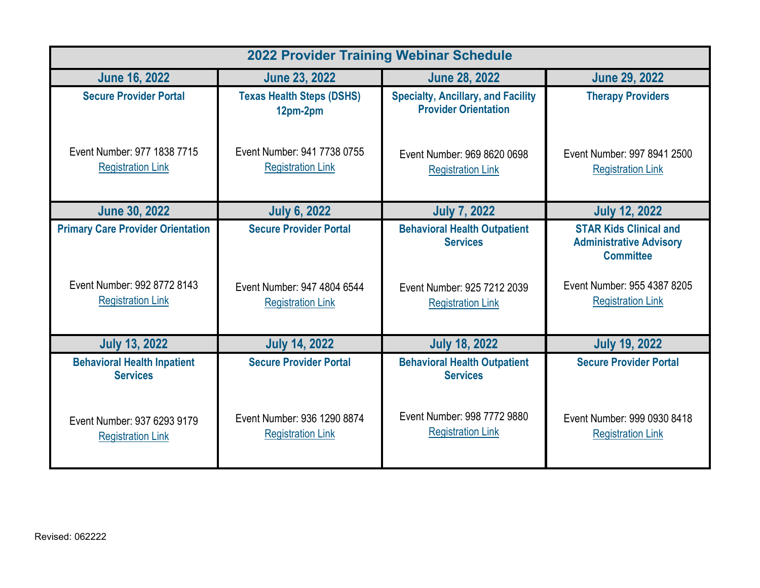| <b>2022 Provider Training Webinar Schedule</b>                          |                                                              |                                                                                       |                                                                                                                    |
|-------------------------------------------------------------------------|--------------------------------------------------------------|---------------------------------------------------------------------------------------|--------------------------------------------------------------------------------------------------------------------|
| <b>June 16, 2022</b>                                                    | <b>June 23, 2022</b>                                         | <b>June 28, 2022</b>                                                                  | <b>June 29, 2022</b>                                                                                               |
| <b>Secure Provider Portal</b>                                           | <b>Texas Health Steps (DSHS)</b><br>12pm-2pm                 | <b>Specialty, Ancillary, and Facility</b><br><b>Provider Orientation</b>              | <b>Therapy Providers</b>                                                                                           |
| Event Number: 977 1838 7715<br><b>Registration Link</b>                 | Event Number: 941 7738 0755<br><b>Registration Link</b>      | Event Number: 969 8620 0698<br><b>Registration Link</b>                               | Event Number: 997 8941 2500<br><b>Registration Link</b>                                                            |
| <b>June 30, 2022</b>                                                    | <b>July 6, 2022</b>                                          | <b>July 7, 2022</b>                                                                   | <b>July 12, 2022</b>                                                                                               |
| <b>Primary Care Provider Orientation</b><br>Event Number: 992 8772 8143 | <b>Secure Provider Portal</b><br>Event Number: 947 4804 6544 | <b>Behavioral Health Outpatient</b><br><b>Services</b><br>Event Number: 925 7212 2039 | <b>STAR Kids Clinical and</b><br><b>Administrative Advisory</b><br><b>Committee</b><br>Event Number: 955 4387 8205 |
| <b>Registration Link</b>                                                | <b>Registration Link</b>                                     | <b>Registration Link</b>                                                              | <b>Registration Link</b>                                                                                           |
| <b>July 13, 2022</b>                                                    | <b>July 14, 2022</b>                                         | <b>July 18, 2022</b>                                                                  | <b>July 19, 2022</b>                                                                                               |
| <b>Behavioral Health Inpatient</b><br><b>Services</b>                   | <b>Secure Provider Portal</b>                                | <b>Behavioral Health Outpatient</b><br><b>Services</b>                                | <b>Secure Provider Portal</b>                                                                                      |
| Event Number: 937 6293 9179<br><b>Registration Link</b>                 | Event Number: 936 1290 8874<br><b>Registration Link</b>      | Event Number: 998 7772 9880<br><b>Registration Link</b>                               | Event Number: 999 0930 8418<br><b>Registration Link</b>                                                            |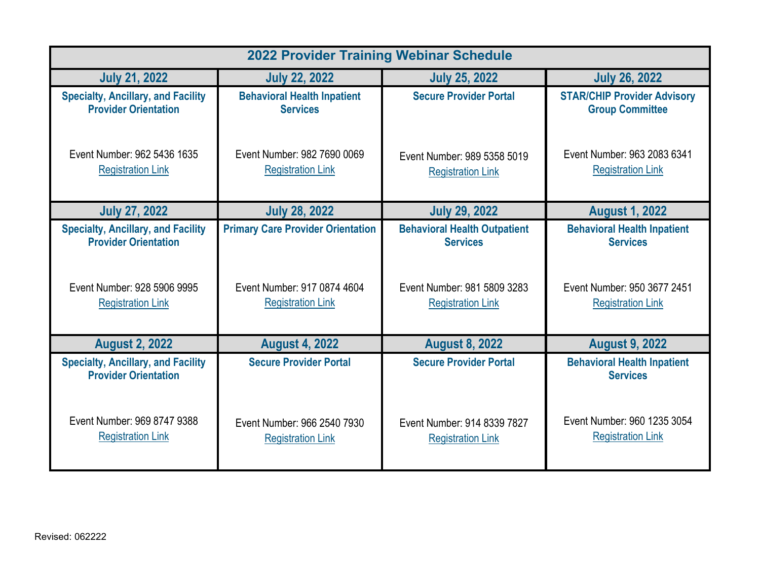| <b>2022 Provider Training Webinar Schedule</b>                           |                                          |                                     |                                                       |
|--------------------------------------------------------------------------|------------------------------------------|-------------------------------------|-------------------------------------------------------|
| <b>July 21, 2022</b>                                                     | <b>July 22, 2022</b>                     | <b>July 25, 2022</b>                | <b>July 26, 2022</b>                                  |
| <b>Specialty, Ancillary, and Facility</b>                                | <b>Behavioral Health Inpatient</b>       | <b>Secure Provider Portal</b>       | <b>STAR/CHIP Provider Advisory</b>                    |
| <b>Provider Orientation</b>                                              | <b>Services</b>                          |                                     | <b>Group Committee</b>                                |
| Event Number: 962 5436 1635                                              | Event Number: 982 7690 0069              | Event Number: 989 5358 5019         | Event Number: 963 2083 6341                           |
| <b>Registration Link</b>                                                 | <b>Registration Link</b>                 | <b>Registration Link</b>            | <b>Registration Link</b>                              |
| <b>July 27, 2022</b>                                                     | <b>July 28, 2022</b>                     | <b>July 29, 2022</b>                | <b>August 1, 2022</b>                                 |
| <b>Specialty, Ancillary, and Facility</b>                                | <b>Primary Care Provider Orientation</b> | <b>Behavioral Health Outpatient</b> | <b>Behavioral Health Inpatient</b>                    |
| <b>Provider Orientation</b>                                              |                                          | <b>Services</b>                     | <b>Services</b>                                       |
| Event Number: 928 5906 9995                                              | Event Number: 917 0874 4604              | Event Number: 981 5809 3283         | Event Number: 950 3677 2451                           |
| <b>Registration Link</b>                                                 | <b>Registration Link</b>                 | <b>Registration Link</b>            | <b>Registration Link</b>                              |
| <b>August 2, 2022</b>                                                    | <b>August 4, 2022</b>                    | <b>August 8, 2022</b>               | <b>August 9, 2022</b>                                 |
| <b>Specialty, Ancillary, and Facility</b><br><b>Provider Orientation</b> | <b>Secure Provider Portal</b>            | <b>Secure Provider Portal</b>       | <b>Behavioral Health Inpatient</b><br><b>Services</b> |
| Event Number: 969 8747 9388                                              | Event Number: 966 2540 7930              | Event Number: 914 8339 7827         | Event Number: 960 1235 3054                           |
| <b>Registration Link</b>                                                 | <b>Registration Link</b>                 | <b>Registration Link</b>            | <b>Registration Link</b>                              |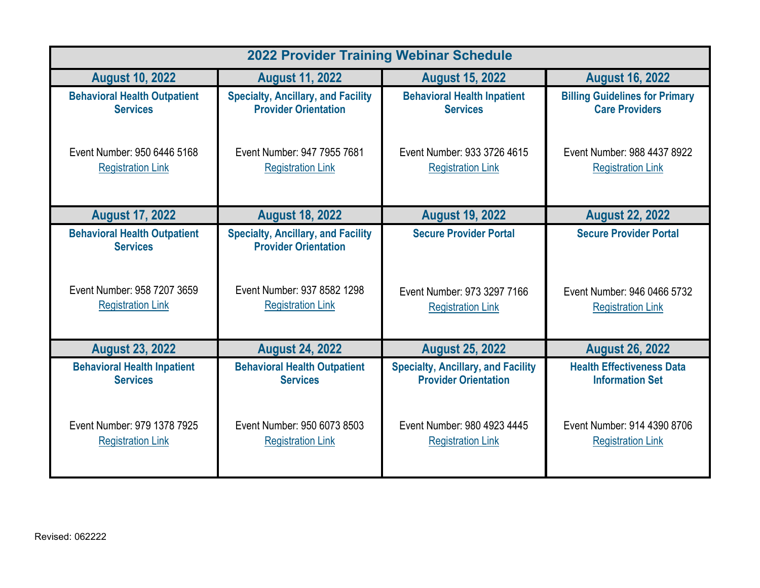| <b>2022 Provider Training Webinar Schedule</b>         |                                                                          |                                           |                                       |
|--------------------------------------------------------|--------------------------------------------------------------------------|-------------------------------------------|---------------------------------------|
| <b>August 10, 2022</b>                                 | <b>August 11, 2022</b>                                                   | <b>August 15, 2022</b>                    | <b>August 16, 2022</b>                |
| <b>Behavioral Health Outpatient</b>                    | <b>Specialty, Ancillary, and Facility</b>                                | <b>Behavioral Health Inpatient</b>        | <b>Billing Guidelines for Primary</b> |
| <b>Services</b>                                        | <b>Provider Orientation</b>                                              | <b>Services</b>                           | <b>Care Providers</b>                 |
| Event Number: 950 6446 5168                            | Event Number: 947 7955 7681                                              | Event Number: 933 3726 4615               | Event Number: 988 4437 8922           |
| <b>Registration Link</b>                               | <b>Registration Link</b>                                                 | <b>Registration Link</b>                  | <b>Registration Link</b>              |
| <b>August 17, 2022</b>                                 | <b>August 18, 2022</b>                                                   | <b>August 19, 2022</b>                    | <b>August 22, 2022</b>                |
| <b>Behavioral Health Outpatient</b><br><b>Services</b> | <b>Specialty, Ancillary, and Facility</b><br><b>Provider Orientation</b> | <b>Secure Provider Portal</b>             | <b>Secure Provider Portal</b>         |
| Event Number: 958 7207 3659                            | Event Number: 937 8582 1298                                              | Event Number: 973 3297 7166               | Event Number: 946 0466 5732           |
| <b>Registration Link</b>                               | <b>Registration Link</b>                                                 | <b>Registration Link</b>                  | <b>Registration Link</b>              |
| <b>August 23, 2022</b>                                 | <b>August 24, 2022</b>                                                   | <b>August 25, 2022</b>                    | <b>August 26, 2022</b>                |
| <b>Behavioral Health Inpatient</b>                     | <b>Behavioral Health Outpatient</b>                                      | <b>Specialty, Ancillary, and Facility</b> | <b>Health Effectiveness Data</b>      |
| <b>Services</b>                                        | <b>Services</b>                                                          | <b>Provider Orientation</b>               | <b>Information Set</b>                |
| Event Number: 979 1378 7925                            | Event Number: 950 6073 8503                                              | Event Number: 980 4923 4445               | Event Number: 914 4390 8706           |
| <b>Registration Link</b>                               | <b>Registration Link</b>                                                 | <b>Registration Link</b>                  | <b>Registration Link</b>              |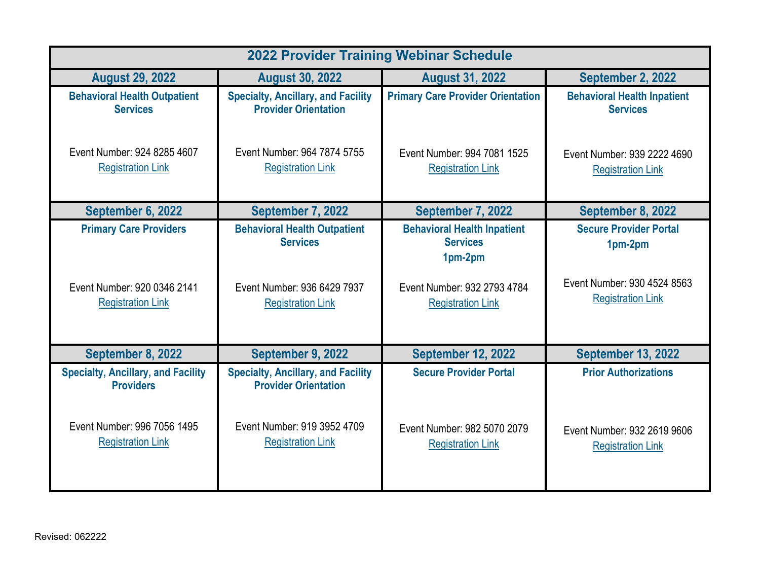| <b>2022 Provider Training Webinar Schedule</b>                                                                           |                                                                                                                                     |                                                                                                                             |                                                                                                     |
|--------------------------------------------------------------------------------------------------------------------------|-------------------------------------------------------------------------------------------------------------------------------------|-----------------------------------------------------------------------------------------------------------------------------|-----------------------------------------------------------------------------------------------------|
| <b>August 29, 2022</b>                                                                                                   | <b>August 30, 2022</b>                                                                                                              | <b>August 31, 2022</b>                                                                                                      | September 2, 2022                                                                                   |
| <b>Behavioral Health Outpatient</b><br><b>Services</b>                                                                   | <b>Specialty, Ancillary, and Facility</b><br><b>Provider Orientation</b>                                                            | <b>Primary Care Provider Orientation</b>                                                                                    | <b>Behavioral Health Inpatient</b><br><b>Services</b>                                               |
| Event Number: 924 8285 4607<br><b>Registration Link</b>                                                                  | Event Number: 964 7874 5755<br><b>Registration Link</b>                                                                             | Event Number: 994 7081 1525<br><b>Registration Link</b>                                                                     | Event Number: 939 2222 4690<br><b>Registration Link</b>                                             |
| September 6, 2022                                                                                                        | September 7, 2022                                                                                                                   | September 7, 2022                                                                                                           | September 8, 2022                                                                                   |
| <b>Primary Care Providers</b><br>Event Number: 920 0346 2141<br><b>Registration Link</b>                                 | <b>Behavioral Health Outpatient</b><br><b>Services</b><br>Event Number: 936 6429 7937<br><b>Registration Link</b>                   | <b>Behavioral Health Inpatient</b><br><b>Services</b><br>1pm-2pm<br>Event Number: 932 2793 4784<br><b>Registration Link</b> | <b>Secure Provider Portal</b><br>1pm-2pm<br>Event Number: 930 4524 8563<br><b>Registration Link</b> |
| September 8, 2022                                                                                                        | September 9, 2022                                                                                                                   | <b>September 12, 2022</b>                                                                                                   | <b>September 13, 2022</b>                                                                           |
| <b>Specialty, Ancillary, and Facility</b><br><b>Providers</b><br>Event Number: 996 7056 1495<br><b>Registration Link</b> | <b>Specialty, Ancillary, and Facility</b><br><b>Provider Orientation</b><br>Event Number: 919 3952 4709<br><b>Registration Link</b> | <b>Secure Provider Portal</b><br>Event Number: 982 5070 2079<br><b>Registration Link</b>                                    | <b>Prior Authorizations</b><br>Event Number: 932 2619 9606<br><b>Registration Link</b>              |
|                                                                                                                          |                                                                                                                                     |                                                                                                                             |                                                                                                     |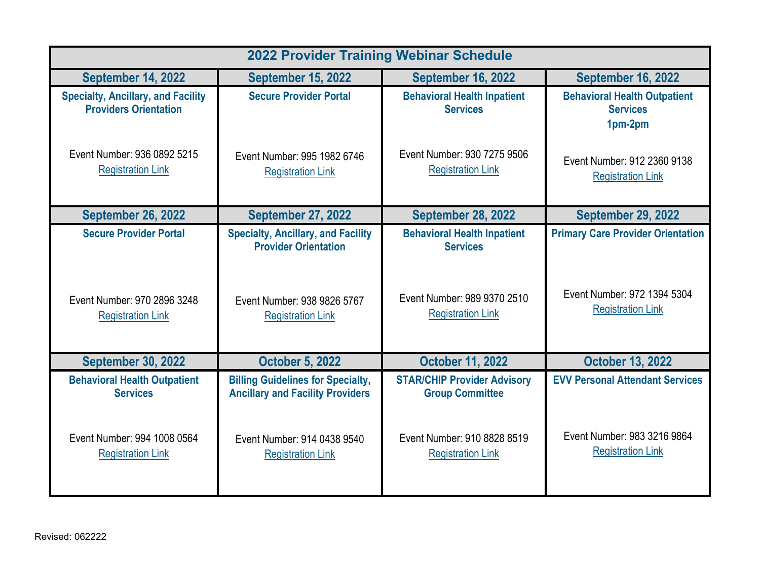| <b>2022 Provider Training Webinar Schedule</b>                            |                                                                                     |                                                              |                                                                   |
|---------------------------------------------------------------------------|-------------------------------------------------------------------------------------|--------------------------------------------------------------|-------------------------------------------------------------------|
| <b>September 14, 2022</b>                                                 | <b>September 15, 2022</b>                                                           | <b>September 16, 2022</b>                                    | <b>September 16, 2022</b>                                         |
| <b>Specialty, Ancillary, and Facility</b><br><b>Providers Orientation</b> | <b>Secure Provider Portal</b>                                                       | <b>Behavioral Health Inpatient</b><br><b>Services</b>        | <b>Behavioral Health Outpatient</b><br><b>Services</b><br>1pm-2pm |
| Event Number: 936 0892 5215<br><b>Registration Link</b>                   | Event Number: 995 1982 6746<br><b>Registration Link</b>                             | Event Number: 930 7275 9506<br><b>Registration Link</b>      | Event Number: 912 2360 9138<br><b>Registration Link</b>           |
| <b>September 26, 2022</b>                                                 | <b>September 27, 2022</b>                                                           | <b>September 28, 2022</b>                                    | <b>September 29, 2022</b>                                         |
| <b>Secure Provider Portal</b>                                             | <b>Specialty, Ancillary, and Facility</b><br><b>Provider Orientation</b>            | <b>Behavioral Health Inpatient</b><br><b>Services</b>        | <b>Primary Care Provider Orientation</b>                          |
| Event Number: 970 2896 3248<br><b>Registration Link</b>                   | Event Number: 938 9826 5767<br><b>Registration Link</b>                             | Event Number: 989 9370 2510<br><b>Registration Link</b>      | Event Number: 972 1394 5304<br><b>Registration Link</b>           |
| <b>September 30, 2022</b>                                                 | <b>October 5, 2022</b>                                                              | <b>October 11, 2022</b>                                      | <b>October 13, 2022</b>                                           |
| <b>Behavioral Health Outpatient</b><br><b>Services</b>                    | <b>Billing Guidelines for Specialty,</b><br><b>Ancillary and Facility Providers</b> | <b>STAR/CHIP Provider Advisory</b><br><b>Group Committee</b> | <b>EVV Personal Attendant Services</b>                            |
| Event Number: 994 1008 0564<br><b>Registration Link</b>                   | Event Number: 914 0438 9540<br><b>Registration Link</b>                             | Event Number: 910 8828 8519<br><b>Registration Link</b>      | Event Number: 983 3216 9864<br><b>Registration Link</b>           |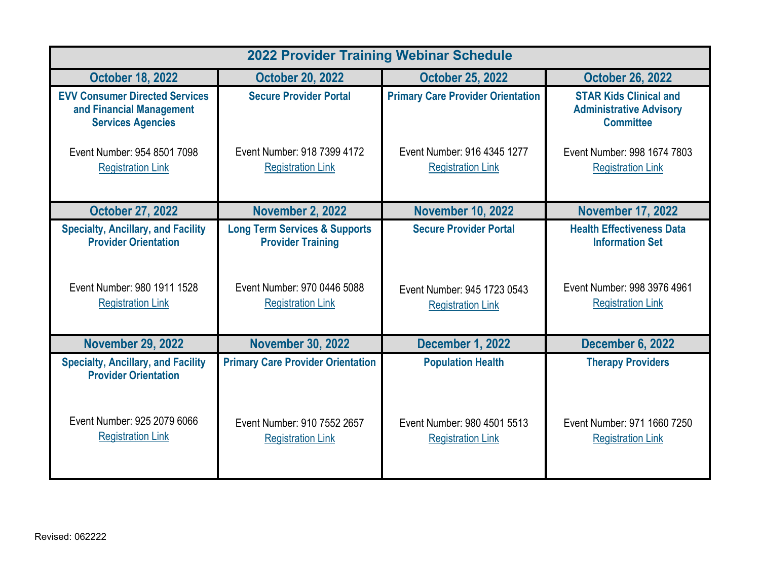| <b>2022 Provider Training Webinar Schedule</b>                                                |                                                                      |                                                         |                                                                                     |
|-----------------------------------------------------------------------------------------------|----------------------------------------------------------------------|---------------------------------------------------------|-------------------------------------------------------------------------------------|
| <b>October 18, 2022</b>                                                                       | <b>October 20, 2022</b>                                              | <b>October 25, 2022</b>                                 | <b>October 26, 2022</b>                                                             |
| <b>EVV Consumer Directed Services</b><br>and Financial Management<br><b>Services Agencies</b> | <b>Secure Provider Portal</b>                                        | <b>Primary Care Provider Orientation</b>                | <b>STAR Kids Clinical and</b><br><b>Administrative Advisory</b><br><b>Committee</b> |
| Event Number: 954 8501 7098<br><b>Registration Link</b>                                       | Event Number: 918 7399 4172<br><b>Registration Link</b>              | Event Number: 916 4345 1277<br><b>Registration Link</b> | Event Number: 998 1674 7803<br><b>Registration Link</b>                             |
| <b>October 27, 2022</b>                                                                       | <b>November 2, 2022</b>                                              | <b>November 10, 2022</b>                                | <b>November 17, 2022</b>                                                            |
| <b>Specialty, Ancillary, and Facility</b><br><b>Provider Orientation</b>                      | <b>Long Term Services &amp; Supports</b><br><b>Provider Training</b> | <b>Secure Provider Portal</b>                           | <b>Health Effectiveness Data</b><br><b>Information Set</b>                          |
| Event Number: 980 1911 1528<br><b>Registration Link</b>                                       | Event Number: 970 0446 5088<br><b>Registration Link</b>              | Event Number: 945 1723 0543<br><b>Registration Link</b> | Event Number: 998 3976 4961<br><b>Registration Link</b>                             |
| <b>November 29, 2022</b>                                                                      | <b>November 30, 2022</b>                                             | December 1, 2022                                        | <b>December 6, 2022</b>                                                             |
| <b>Specialty, Ancillary, and Facility</b><br><b>Provider Orientation</b>                      | <b>Primary Care Provider Orientation</b>                             | <b>Population Health</b>                                | <b>Therapy Providers</b>                                                            |
| Event Number: 925 2079 6066<br><b>Registration Link</b>                                       | Event Number: 910 7552 2657<br><b>Registration Link</b>              | Event Number: 980 4501 5513<br><b>Registration Link</b> | Event Number: 971 1660 7250<br><b>Registration Link</b>                             |